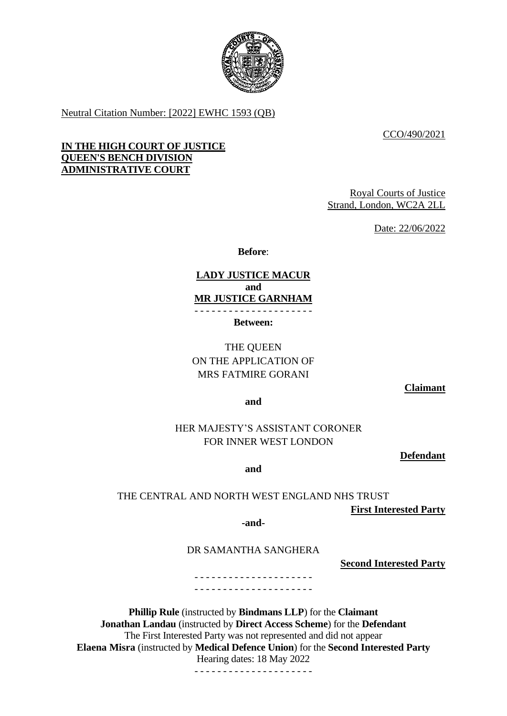

Neutral Citation Number: [2022] EWHC 1593 (QB)

CCO/490/2021

## **IN THE HIGH COURT OF JUSTICE QUEEN'S BENCH DIVISION ADMINISTRATIVE COURT**

Royal Courts of Justice Strand, London, WC2A 2LL

Date: 22/06/2022

**Before**:

**LADY JUSTICE MACUR and MR JUSTICE GARNHAM** - - - - - - - - - - - - - - - - - - - - -

**Between:**

THE QUEEN ON THE APPLICATION OF MRS FATMIRE GORANI

**Claimant**

**and**

HER MAJESTY'S ASSISTANT CORONER FOR INNER WEST LONDON

**Defendant**

**and**

## THE CENTRAL AND NORTH WEST ENGLAND NHS TRUST

**First Interested Party**

**-and-**

DR SAMANTHA SANGHERA

**Second Interested Party**

- - - - - - - - - - - - - - - - - - - - - - - - - - - - - - - - - - - - - - - - - -

**Phillip Rule** (instructed by **Bindmans LLP**) for the **Claimant Jonathan Landau** (instructed by **Direct Access Scheme**) for the **Defendant** The First Interested Party was not represented and did not appear **Elaena Misra** (instructed by **Medical Defence Union**) for the **Second Interested Party** Hearing dates: 18 May 2022

- - - - - - - - - - - - - - - - - - - - -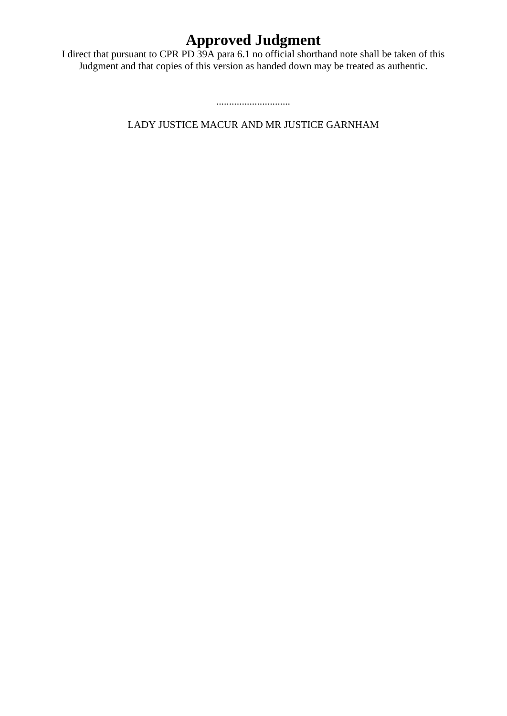# **Approved Judgment**

I direct that pursuant to CPR PD 39A para 6.1 no official shorthand note shall be taken of this Judgment and that copies of this version as handed down may be treated as authentic.

.............................

LADY JUSTICE MACUR AND MR JUSTICE GARNHAM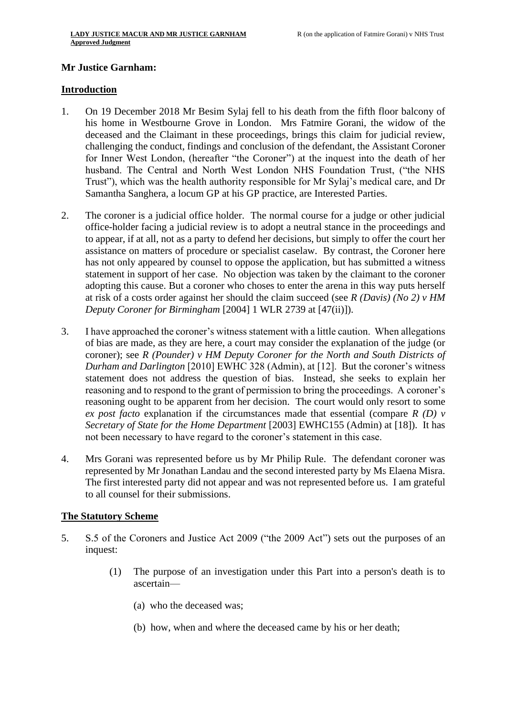#### **Mr Justice Garnham:**

#### **Introduction**

- 1. On 19 December 2018 Mr Besim Sylaj fell to his death from the fifth floor balcony of his home in Westbourne Grove in London. Mrs Fatmire Gorani, the widow of the deceased and the Claimant in these proceedings, brings this claim for judicial review, challenging the conduct, findings and conclusion of the defendant, the Assistant Coroner for Inner West London, (hereafter "the Coroner") at the inquest into the death of her husband. The Central and North West London NHS Foundation Trust, ("the NHS Trust"), which was the health authority responsible for Mr Sylaj's medical care, and Dr Samantha Sanghera, a locum GP at his GP practice, are Interested Parties.
- 2. The coroner is a judicial office holder. The normal course for a judge or other judicial office-holder facing a judicial review is to adopt a neutral stance in the proceedings and to appear, if at all, not as a party to defend her decisions, but simply to offer the court her assistance on matters of procedure or specialist caselaw. By contrast, the Coroner here has not only appeared by counsel to oppose the application, but has submitted a witness statement in support of her case. No objection was taken by the claimant to the coroner adopting this cause. But a coroner who choses to enter the arena in this way puts herself at risk of a costs order against her should the claim succeed (see *R (Davis) (No 2) v HM Deputy Coroner for Birmingham* [2004] 1 WLR 2739 at [47(ii)]).
- 3. I have approached the coroner's witness statement with a little caution. When allegations of bias are made, as they are here, a court may consider the explanation of the judge (or coroner); see *R (Pounder) v HM Deputy Coroner for the North and South Districts of Durham and Darlington* [2010] EWHC 328 (Admin), at [12]. But the coroner's witness statement does not address the question of bias. Instead, she seeks to explain her reasoning and to respond to the grant of permission to bring the proceedings. A coroner's reasoning ought to be apparent from her decision. The court would only resort to some *ex post facto* explanation if the circumstances made that essential (compare *R (D) v Secretary of State for the Home Department* [2003] EWHC155 (Admin) at [18]). It has not been necessary to have regard to the coroner's statement in this case.
- 4. Mrs Gorani was represented before us by Mr Philip Rule. The defendant coroner was represented by Mr Jonathan Landau and the second interested party by Ms Elaena Misra. The first interested party did not appear and was not represented before us. I am grateful to all counsel for their submissions.

## **The Statutory Scheme**

- 5. S.5 of the Coroners and Justice Act 2009 ("the 2009 Act") sets out the purposes of an inquest:
	- (1) The purpose of an investigation under this Part into a person's death is to ascertain—
		- (a) who the deceased was;
		- (b) how, when and where the deceased came by his or her death;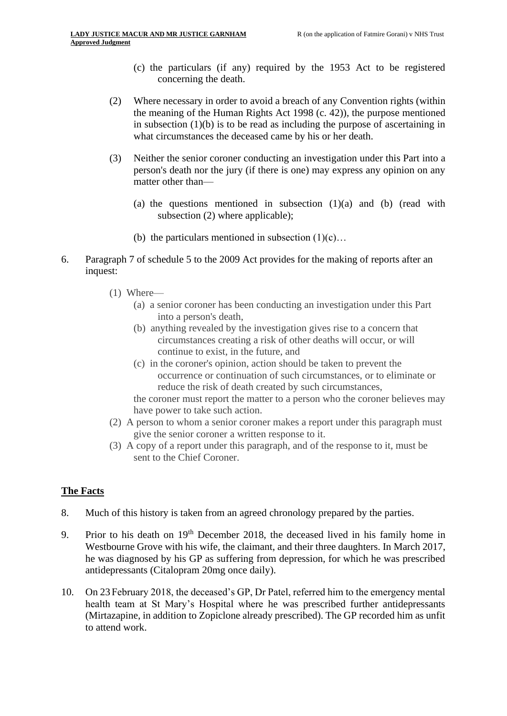- (c) the particulars (if any) required by the 1953 Act to be registered concerning the death.
- (2) Where necessary in order to avoid a breach of any Convention rights (within the meaning of the [Human](https://uk.westlaw.com/Document/I5FB840F0E42311DAA7CF8F68F6EE57AB/View/FullText.html?originationContext=document&transitionType=DocumentItem&ppcid=c3508d64200149ebac538ba8d3925bdf&contextData=(sc.DocLink)) Rights Act 1998 (c. 42)), the purpose mentioned in subsection  $(1)(b)$  is to be read as including the purpose of ascertaining in what circumstances the deceased came by his or her death.
- (3) Neither the senior coroner conducting an investigation under this Part into a person's death nor the jury (if there is one) may express any opinion on any matter other than—
	- (a) the questions mentioned in subsection  $(1)(a)$  and  $(b)$  (read with subsection (2) where applicable);
	- (b) the particulars mentioned in subsection  $(1)(c)...$
- 6. Paragraph 7 of schedule 5 to the 2009 Act provides for the making of reports after an inquest:
	- (1) Where—
		- (a) a senior coroner has been conducting an investigation under this Part into a person's death,
		- (b) anything revealed by the investigation gives rise to a concern that circumstances creating a risk of other deaths will occur, or will continue to exist, in the future, and
		- (c) in the coroner's opinion, action should be taken to prevent the occurrence or continuation of such circumstances, or to eliminate or reduce the risk of death created by such circumstances,

the coroner must report the matter to a person who the coroner believes may have power to take such action.

- (2) A person to whom a senior coroner makes a report under this paragraph must give the senior coroner a written response to it.
- (3) A copy of a report under this paragraph, and of the response to it, must be sent to the Chief Coroner.

# **The Facts**

- 8. Much of this history is taken from an agreed chronology prepared by the parties.
- 9. Prior to his death on 19th December 2018, the deceased lived in his family home in Westbourne Grove with his wife, the claimant, and their three daughters. In March 2017, he was diagnosed by his GP as suffering from depression, for which he was prescribed antidepressants (Citalopram 20mg once daily).
- 10. On 23 February 2018, the deceased's GP, Dr Patel, referred him to the emergency mental health team at St Mary's Hospital where he was prescribed further antidepressants (Mirtazapine, in addition to Zopiclone already prescribed). The GP recorded him as unfit to attend work.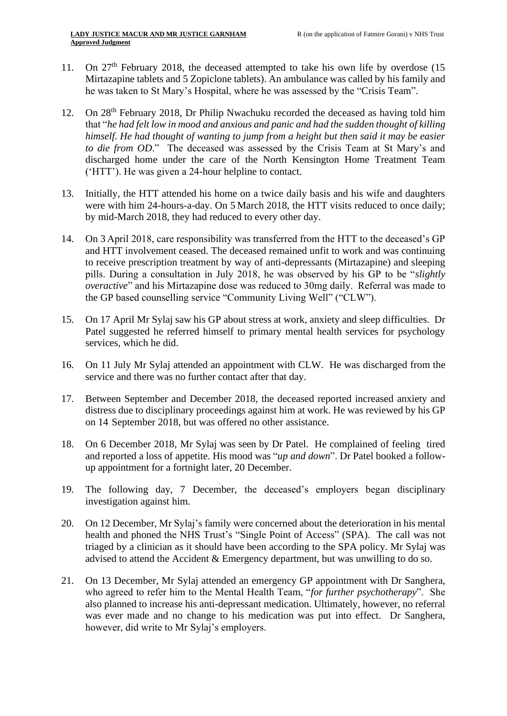- 11. On  $27<sup>th</sup>$  February 2018, the deceased attempted to take his own life by overdose (15 Mirtazapine tablets and 5 Zopiclone tablets). An ambulance was called by his family and he was taken to St Mary's Hospital, where he was assessed by the "Crisis Team".
- 12. On 28<sup>th</sup> February 2018, Dr Philip Nwachuku recorded the deceased as having told him that "*he had felt low in mood and anxious and panic and had the sudden thought of killing himself. He had thought of wanting to jump from a height but then said it may be easier to die from OD*." The deceased was assessed by the Crisis Team at St Mary's and discharged home under the care of the North Kensington Home Treatment Team ('HTT'). He was given a 24-hour helpline to contact.
- 13. Initially, the HTT attended his home on a twice daily basis and his wife and daughters were with him 24-hours-a-day. On 5 March 2018, the HTT visits reduced to once daily; by mid-March 2018, they had reduced to every other day.
- 14. On 3 April 2018, care responsibility was transferred from the HTT to the deceased's GP and HTT involvement ceased. The deceased remained unfit to work and was continuing to receive prescription treatment by way of anti-depressants (Mirtazapine) and sleeping pills. During a consultation in July 2018, he was observed by his GP to be "*slightly overactive*" and his Mirtazapine dose was reduced to 30mg daily. Referral was made to the GP based counselling service "Community Living Well" ("CLW").
- 15. On 17 April Mr Sylaj saw his GP about stress at work, anxiety and sleep difficulties. Dr Patel suggested he referred himself to primary mental health services for psychology services, which he did.
- 16. On 11 July Mr Sylaj attended an appointment with CLW. He was discharged from the service and there was no further contact after that day.
- 17. Between September and December 2018, the deceased reported increased anxiety and distress due to disciplinary proceedings against him at work. He was reviewed by his GP on 14 September 2018, but was offered no other assistance.
- 18. On 6 December 2018, Mr Sylaj was seen by Dr Patel. He complained of feeling tired and reported a loss of appetite. His mood was "*up and down*". Dr Patel booked a followup appointment for a fortnight later, 20 December.
- 19. The following day, 7 December, the deceased's employers began disciplinary investigation against him.
- 20. On 12 December, Mr Sylaj's family were concerned about the deterioration in his mental health and phoned the NHS Trust's "Single Point of Access" (SPA). The call was not triaged by a clinician as it should have been according to the SPA policy. Mr Sylaj was advised to attend the Accident & Emergency department, but was unwilling to do so.
- 21. On 13 December, Mr Sylaj attended an emergency GP appointment with Dr Sanghera, who agreed to refer him to the Mental Health Team, "*for further psychotherapy*". She also planned to increase his anti-depressant medication. Ultimately, however, no referral was ever made and no change to his medication was put into effect. Dr Sanghera, however, did write to Mr Sylaj's employers.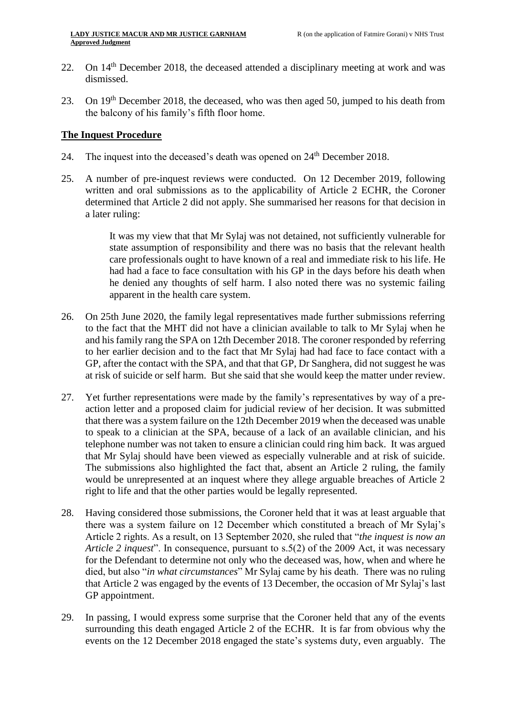- 22. On 14th December 2018, the deceased attended a disciplinary meeting at work and was dismissed.
- 23. On 19<sup>th</sup> December 2018, the deceased, who was then aged 50, jumped to his death from the balcony of his family's fifth floor home.

#### **The Inquest Procedure**

- 24. The inquest into the deceased's death was opened on 24<sup>th</sup> December 2018.
- 25. A number of pre-inquest reviews were conducted. On 12 December 2019, following written and oral submissions as to the applicability of Article 2 ECHR, the Coroner determined that Article 2 did not apply. She summarised her reasons for that decision in a later ruling:

It was my view that that Mr Sylaj was not detained, not sufficiently vulnerable for state assumption of responsibility and there was no basis that the relevant health care professionals ought to have known of a real and immediate risk to his life. He had had a face to face consultation with his GP in the days before his death when he denied any thoughts of self harm. I also noted there was no systemic failing apparent in the health care system.

- 26. On 25th June 2020, the family legal representatives made further submissions referring to the fact that the MHT did not have a clinician available to talk to Mr Sylaj when he and his family rang the SPA on 12th December 2018. The coroner responded by referring to her earlier decision and to the fact that Mr Sylaj had had face to face contact with a GP, after the contact with the SPA, and that that GP, Dr Sanghera, did not suggest he was at risk of suicide or self harm. But she said that she would keep the matter under review.
- 27. Yet further representations were made by the family's representatives by way of a preaction letter and a proposed claim for judicial review of her decision. It was submitted that there was a system failure on the 12th December 2019 when the deceased was unable to speak to a clinician at the SPA, because of a lack of an available clinician, and his telephone number was not taken to ensure a clinician could ring him back. It was argued that Mr Sylaj should have been viewed as especially vulnerable and at risk of suicide. The submissions also highlighted the fact that, absent an Article 2 ruling, the family would be unrepresented at an inquest where they allege arguable breaches of Article 2 right to life and that the other parties would be legally represented.
- 28. Having considered those submissions, the Coroner held that it was at least arguable that there was a system failure on 12 December which constituted a breach of Mr Sylaj's Article 2 rights. As a result, on 13 September 2020, she ruled that "*the inquest is now an Article 2 inquest*". In consequence, pursuant to s.5(2) of the 2009 Act, it was necessary for the Defendant to determine not only who the deceased was, how, when and where he died, but also "*in what circumstances*" Mr Sylaj came by his death. There was no ruling that Article 2 was engaged by the events of 13 December, the occasion of Mr Sylaj's last GP appointment.
- 29. In passing, I would express some surprise that the Coroner held that any of the events surrounding this death engaged Article 2 of the ECHR. It is far from obvious why the events on the 12 December 2018 engaged the state's systems duty, even arguably. The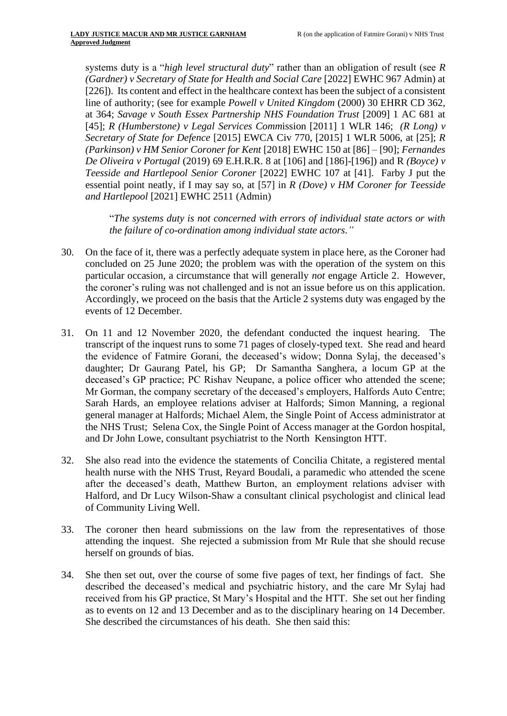systems duty is a "*high level structural duty*" rather than an obligation of result (see *R (Gardner) v Secretary of State for Health and Social Care* [2022] EWHC 967 Admin) at [226]). Its content and effect in the healthcare context has been the subject of a consistent line of authority; (see for example *Powell v United Kingdom* (2000) 30 EHRR CD 362, at 364; *Savage v South Essex Partnership NHS Foundation Trust* [2009] 1 AC 681 at [45]; *R (Humberstone) v Legal Services Comm*ission [2011] 1 WLR 146; *(R Long) v Secretary of State for Defence* [2015] EWCA Civ 770, [2015] 1 WLR 5006, at [25]; *R (Parkinson) v HM Senior Coroner for Kent* [2018] EWHC 150 at [86] – [90]; *Fernandes De Oliveira v Portugal* (2019) 69 E.H.R.R. 8 at [106] and [186]-[196]) and R *(Boyce) v Teesside and Hartlepool Senior Coroner* [2022] EWHC 107 at [41]. Farby J put the essential point neatly, if I may say so, at [57] in *R (Dove) v HM Coroner for Teesside and Hartlepool* [2021] EWHC 2511 (Admin)

"*The systems duty is not concerned with errors of individual state actors or with the failure of co-ordination among individual state actors."*

- 30. On the face of it, there was a perfectly adequate system in place here, as the Coroner had concluded on 25 June 2020; the problem was with the operation of the system on this particular occasion, a circumstance that will generally *not* engage Article 2. However, the coroner's ruling was not challenged and is not an issue before us on this application. Accordingly, we proceed on the basis that the Article 2 systems duty was engaged by the events of 12 December.
- 31. On 11 and 12 November 2020, the defendant conducted the inquest hearing. The transcript of the inquest runs to some 71 pages of closely-typed text. She read and heard the evidence of Fatmire Gorani, the deceased's widow; Donna Sylaj, the deceased's daughter; Dr Gaurang Patel, his GP; Dr Samantha Sanghera, a locum GP at the deceased's GP practice; PC Rishav Neupane, a police officer who attended the scene; Mr Gorman, the company secretary of the deceased's employers, Halfords Auto Centre; Sarah Hards, an employee relations adviser at Halfords; Simon Manning, a regional general manager at Halfords; Michael Alem, the Single Point of Access administrator at the NHS Trust; Selena Cox, the Single Point of Access manager at the Gordon hospital, and Dr John Lowe, consultant psychiatrist to the North Kensington HTT.
- 32. She also read into the evidence the statements of Concilia Chitate, a registered mental health nurse with the NHS Trust, Reyard Boudali, a paramedic who attended the scene after the deceased's death, Matthew Burton, an employment relations adviser with Halford, and Dr Lucy Wilson-Shaw a consultant clinical psychologist and clinical lead of Community Living Well.
- 33. The coroner then heard submissions on the law from the representatives of those attending the inquest. She rejected a submission from Mr Rule that she should recuse herself on grounds of bias.
- 34. She then set out, over the course of some five pages of text, her findings of fact. She described the deceased's medical and psychiatric history, and the care Mr Sylaj had received from his GP practice, St Mary's Hospital and the HTT. She set out her finding as to events on 12 and 13 December and as to the disciplinary hearing on 14 December. She described the circumstances of his death. She then said this: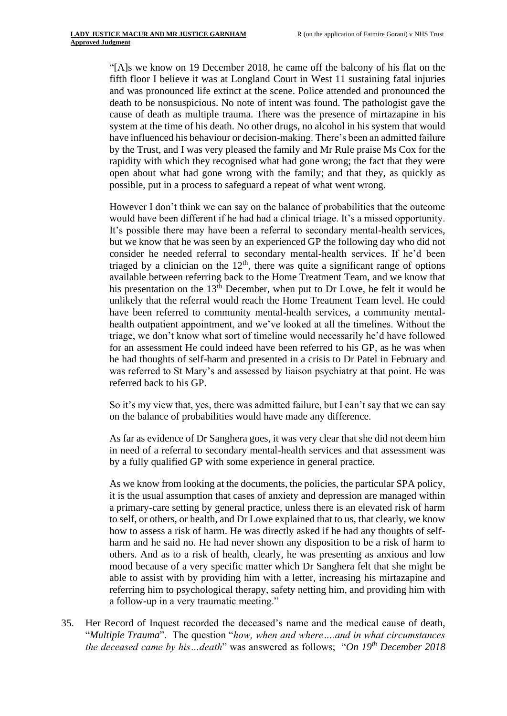"[A]s we know on 19 December 2018, he came off the balcony of his flat on the fifth floor I believe it was at Longland Court in West 11 sustaining fatal injuries and was pronounced life extinct at the scene. Police attended and pronounced the death to be nonsuspicious. No note of intent was found. The pathologist gave the cause of death as multiple trauma. There was the presence of mirtazapine in his system at the time of his death. No other drugs, no alcohol in his system that would have influenced his behaviour or decision-making. There's been an admitted failure by the Trust, and I was very pleased the family and Mr Rule praise Ms Cox for the rapidity with which they recognised what had gone wrong; the fact that they were open about what had gone wrong with the family; and that they, as quickly as possible, put in a process to safeguard a repeat of what went wrong.

However I don't think we can say on the balance of probabilities that the outcome would have been different if he had had a clinical triage. It's a missed opportunity. It's possible there may have been a referral to secondary mental-health services, but we know that he was seen by an experienced GP the following day who did not consider he needed referral to secondary mental-health services. If he'd been triaged by a clinician on the  $12<sup>th</sup>$ , there was quite a significant range of options available between referring back to the Home Treatment Team, and we know that his presentation on the  $13<sup>th</sup>$  December, when put to Dr Lowe, he felt it would be unlikely that the referral would reach the Home Treatment Team level. He could have been referred to community mental-health services, a community mentalhealth outpatient appointment, and we've looked at all the timelines. Without the triage, we don't know what sort of timeline would necessarily he'd have followed for an assessment He could indeed have been referred to his GP, as he was when he had thoughts of self-harm and presented in a crisis to Dr Patel in February and was referred to St Mary's and assessed by liaison psychiatry at that point. He was referred back to his GP.

So it's my view that, yes, there was admitted failure, but I can't say that we can say on the balance of probabilities would have made any difference.

As far as evidence of Dr Sanghera goes, it was very clear that she did not deem him in need of a referral to secondary mental-health services and that assessment was by a fully qualified GP with some experience in general practice.

As we know from looking at the documents, the policies, the particular SPA policy, it is the usual assumption that cases of anxiety and depression are managed within a primary-care setting by general practice, unless there is an elevated risk of harm to self, or others, or health, and Dr Lowe explained that to us, that clearly, we know how to assess a risk of harm. He was directly asked if he had any thoughts of selfharm and he said no. He had never shown any disposition to be a risk of harm to others. And as to a risk of health, clearly, he was presenting as anxious and low mood because of a very specific matter which Dr Sanghera felt that she might be able to assist with by providing him with a letter, increasing his mirtazapine and referring him to psychological therapy, safety netting him, and providing him with a follow-up in a very traumatic meeting."

35. Her Record of Inquest recorded the deceased's name and the medical cause of death, "*Multiple Trauma*". The question "*how, when and where….and in what circumstances the deceased came by his…death*" was answered as follows; "*On 19th December 2018*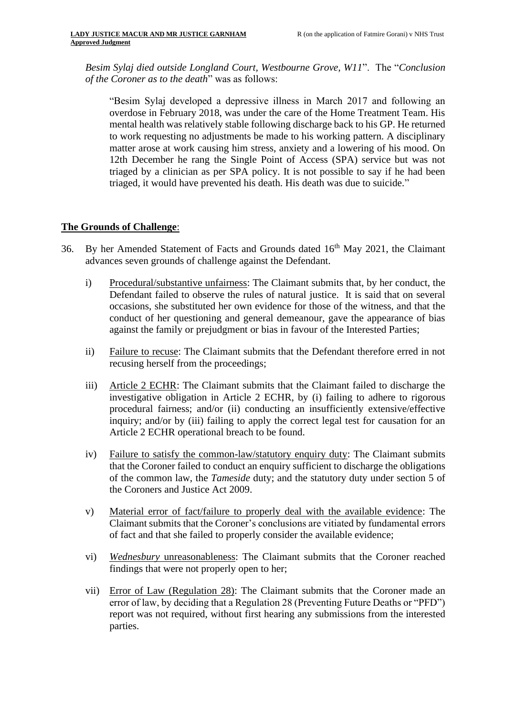*Besim Sylaj died outside Longland Court, Westbourne Grove, W11*". The "*Conclusion of the Coroner as to the death*" was as follows:

"Besim Sylaj developed a depressive illness in March 2017 and following an overdose in February 2018, was under the care of the Home Treatment Team. His mental health was relatively stable following discharge back to his GP. He returned to work requesting no adjustments be made to his working pattern. A disciplinary matter arose at work causing him stress, anxiety and a lowering of his mood. On 12th December he rang the Single Point of Access (SPA) service but was not triaged by a clinician as per SPA policy. It is not possible to say if he had been triaged, it would have prevented his death. His death was due to suicide."

## **The Grounds of Challenge**:

- 36. By her Amended Statement of Facts and Grounds dated  $16<sup>th</sup>$  May 2021, the Claimant advances seven grounds of challenge against the Defendant.
	- i) Procedural/substantive unfairness: The Claimant submits that, by her conduct, the Defendant failed to observe the rules of natural justice. It is said that on several occasions, she substituted her own evidence for those of the witness, and that the conduct of her questioning and general demeanour, gave the appearance of bias against the family or prejudgment or bias in favour of the Interested Parties;
	- ii) Failure to recuse: The Claimant submits that the Defendant therefore erred in not recusing herself from the proceedings;
	- iii) Article 2 ECHR: The Claimant submits that the Claimant failed to discharge the investigative obligation in Article 2 ECHR, by (i) failing to adhere to rigorous procedural fairness; and/or (ii) conducting an insufficiently extensive/effective inquiry; and/or by (iii) failing to apply the correct legal test for causation for an Article 2 ECHR operational breach to be found.
	- iv) Failure to satisfy the common-law/statutory enquiry duty: The Claimant submits that the Coroner failed to conduct an enquiry sufficient to discharge the obligations of the common law, the *Tameside* duty; and the statutory duty under section 5 of the Coroners and Justice Act 2009.
	- v) Material error of fact/failure to properly deal with the available evidence: The Claimant submits that the Coroner's conclusions are vitiated by fundamental errors of fact and that she failed to properly consider the available evidence;
	- vi) *Wednesbury* unreasonableness: The Claimant submits that the Coroner reached findings that were not properly open to her;
	- vii) Error of Law (Regulation 28): The Claimant submits that the Coroner made an error of law, by deciding that a Regulation 28 (Preventing Future Deaths or "PFD") report was not required, without first hearing any submissions from the interested parties.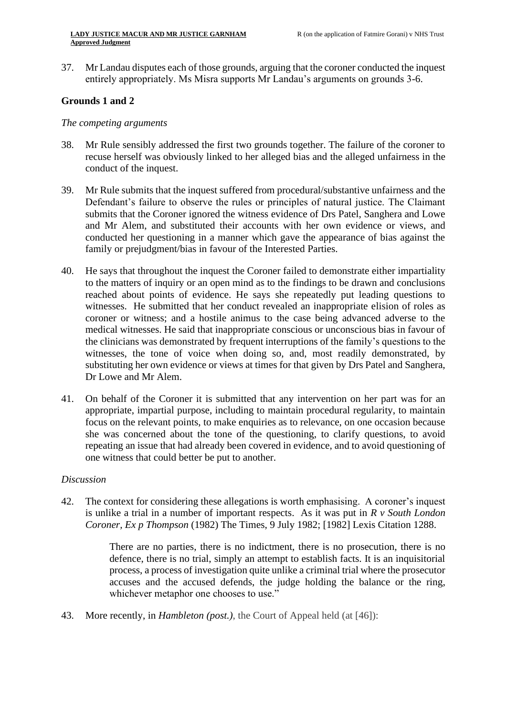37. Mr Landau disputes each of those grounds, arguing that the coroner conducted the inquest entirely appropriately. Ms Misra supports Mr Landau's arguments on grounds 3-6.

#### **Grounds 1 and 2**

#### *The competing arguments*

- 38. Mr Rule sensibly addressed the first two grounds together. The failure of the coroner to recuse herself was obviously linked to her alleged bias and the alleged unfairness in the conduct of the inquest.
- 39. Mr Rule submits that the inquest suffered from procedural/substantive unfairness and the Defendant's failure to observe the rules or principles of natural justice. The Claimant submits that the Coroner ignored the witness evidence of Drs Patel, Sanghera and Lowe and Mr Alem, and substituted their accounts with her own evidence or views, and conducted her questioning in a manner which gave the appearance of bias against the family or prejudgment/bias in favour of the Interested Parties.
- 40. He says that throughout the inquest the Coroner failed to demonstrate either impartiality to the matters of inquiry or an open mind as to the findings to be drawn and conclusions reached about points of evidence. He says she repeatedly put leading questions to witnesses. He submitted that her conduct revealed an inappropriate elision of roles as coroner or witness; and a hostile animus to the case being advanced adverse to the medical witnesses. He said that inappropriate conscious or unconscious bias in favour of the clinicians was demonstrated by frequent interruptions of the family's questions to the witnesses, the tone of voice when doing so, and, most readily demonstrated, by substituting her own evidence or views at times for that given by Drs Patel and Sanghera, Dr Lowe and Mr Alem.
- 41. On behalf of the Coroner it is submitted that any intervention on her part was for an appropriate, impartial purpose, including to maintain procedural regularity, to maintain focus on the relevant points, to make enquiries as to relevance, on one occasion because she was concerned about the tone of the questioning, to clarify questions, to avoid repeating an issue that had already been covered in evidence, and to avoid questioning of one witness that could better be put to another.

#### *Discussion*

42. The context for considering these allegations is worth emphasising. A coroner's inquest is unlike a trial in a number of important respects. As it was put in *R v South London Coroner, Ex p Thompson* (1982) The Times, 9 July 1982; [1982] Lexis Citation 1288.

> There are no parties, there is no indictment, there is no prosecution, there is no defence, there is no trial, simply an attempt to establish facts. It is an inquisitorial process, a process of investigation quite unlike a criminal trial where the prosecutor accuses and the accused defends, the judge holding the balance or the ring, whichever metaphor one chooses to use."

43. More recently, in *Hambleton (post.)*, the Court of Appeal held (at [46]):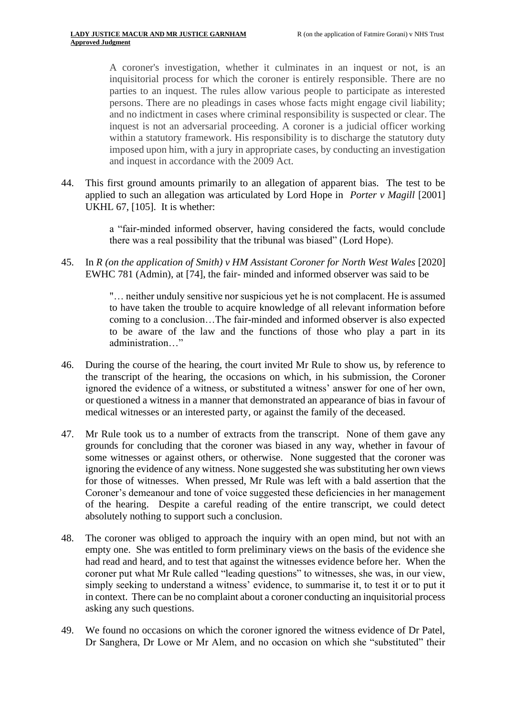A coroner's investigation, whether it culminates in an inquest or not, is an inquisitorial process for which the coroner is entirely responsible. There are no parties to an inquest. The rules allow various people to participate as interested persons. There are no pleadings in cases whose facts might engage civil liability; and no indictment in cases where criminal responsibility is suspected or clear. The inquest is not an adversarial proceeding. A coroner is a judicial officer working within a statutory framework. His responsibility is to discharge the statutory duty imposed upon him, with a jury in appropriate cases, by conducting an investigation and inquest in accordance with the 2009 Act.

44. This first ground amounts primarily to an allegation of apparent bias. The test to be applied to such an allegation was articulated by Lord Hope in *Porter v Magill* [2001] UKHL 67, [105]. It is whether:

> a "fair-minded informed observer, having considered the facts, would conclude there was a real possibility that the tribunal was biased" (Lord Hope).

45. In *R (on the application of Smith) v HM Assistant Coroner for North West Wales* [2020] EWHC 781 (Admin), at [74], the fair- minded and informed observer was said to be

> "… neither unduly sensitive nor suspicious yet he is not complacent. He is assumed to have taken the trouble to acquire knowledge of all relevant information before coming to a conclusion…The fair-minded and informed observer is also expected to be aware of the law and the functions of those who play a part in its administration…"

- 46. During the course of the hearing, the court invited Mr Rule to show us, by reference to the transcript of the hearing, the occasions on which, in his submission, the Coroner ignored the evidence of a witness, or substituted a witness' answer for one of her own, or questioned a witness in a manner that demonstrated an appearance of bias in favour of medical witnesses or an interested party, or against the family of the deceased.
- 47. Mr Rule took us to a number of extracts from the transcript. None of them gave any grounds for concluding that the coroner was biased in any way, whether in favour of some witnesses or against others, or otherwise. None suggested that the coroner was ignoring the evidence of any witness. None suggested she was substituting her own views for those of witnesses. When pressed, Mr Rule was left with a bald assertion that the Coroner's demeanour and tone of voice suggested these deficiencies in her management of the hearing. Despite a careful reading of the entire transcript, we could detect absolutely nothing to support such a conclusion.
- 48. The coroner was obliged to approach the inquiry with an open mind, but not with an empty one. She was entitled to form preliminary views on the basis of the evidence she had read and heard, and to test that against the witnesses evidence before her. When the coroner put what Mr Rule called "leading questions" to witnesses, she was, in our view, simply seeking to understand a witness' evidence, to summarise it, to test it or to put it in context. There can be no complaint about a coroner conducting an inquisitorial process asking any such questions.
- 49. We found no occasions on which the coroner ignored the witness evidence of Dr Patel, Dr Sanghera, Dr Lowe or Mr Alem, and no occasion on which she "substituted" their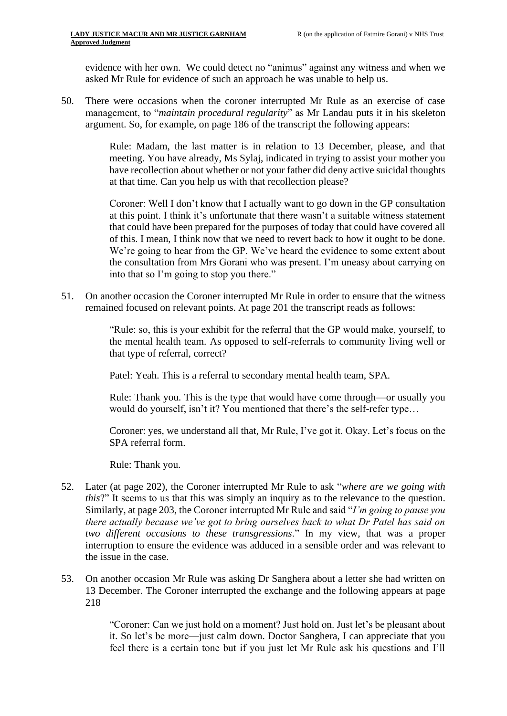evidence with her own. We could detect no "animus" against any witness and when we asked Mr Rule for evidence of such an approach he was unable to help us.

50. There were occasions when the coroner interrupted Mr Rule as an exercise of case management, to "*maintain procedural regularity*" as Mr Landau puts it in his skeleton argument. So, for example, on page 186 of the transcript the following appears:

> Rule: Madam, the last matter is in relation to 13 December, please, and that meeting. You have already, Ms Sylaj, indicated in trying to assist your mother you have recollection about whether or not your father did deny active suicidal thoughts at that time. Can you help us with that recollection please?

> Coroner: Well I don't know that I actually want to go down in the GP consultation at this point. I think it's unfortunate that there wasn't a suitable witness statement that could have been prepared for the purposes of today that could have covered all of this. I mean, I think now that we need to revert back to how it ought to be done. We're going to hear from the GP. We've heard the evidence to some extent about the consultation from Mrs Gorani who was present. I'm uneasy about carrying on into that so I'm going to stop you there."

51. On another occasion the Coroner interrupted Mr Rule in order to ensure that the witness remained focused on relevant points. At page 201 the transcript reads as follows:

> "Rule: so, this is your exhibit for the referral that the GP would make, yourself, to the mental health team. As opposed to self-referrals to community living well or that type of referral, correct?

Patel: Yeah. This is a referral to secondary mental health team, SPA.

Rule: Thank you. This is the type that would have come through—or usually you would do yourself, isn't it? You mentioned that there's the self-refer type…

Coroner: yes, we understand all that, Mr Rule, I've got it. Okay. Let's focus on the SPA referral form.

Rule: Thank you.

- 52. Later (at page 202), the Coroner interrupted Mr Rule to ask "*where are we going with this*?" It seems to us that this was simply an inquiry as to the relevance to the question. Similarly, at page 203, the Coroner interrupted Mr Rule and said "*I'm going to pause you there actually because we've got to bring ourselves back to what Dr Patel has said on two different occasions to these transgressions*." In my view, that was a proper interruption to ensure the evidence was adduced in a sensible order and was relevant to the issue in the case.
- 53. On another occasion Mr Rule was asking Dr Sanghera about a letter she had written on 13 December. The Coroner interrupted the exchange and the following appears at page 218

"Coroner: Can we just hold on a moment? Just hold on. Just let's be pleasant about it. So let's be more—just calm down. Doctor Sanghera, I can appreciate that you feel there is a certain tone but if you just let Mr Rule ask his questions and I'll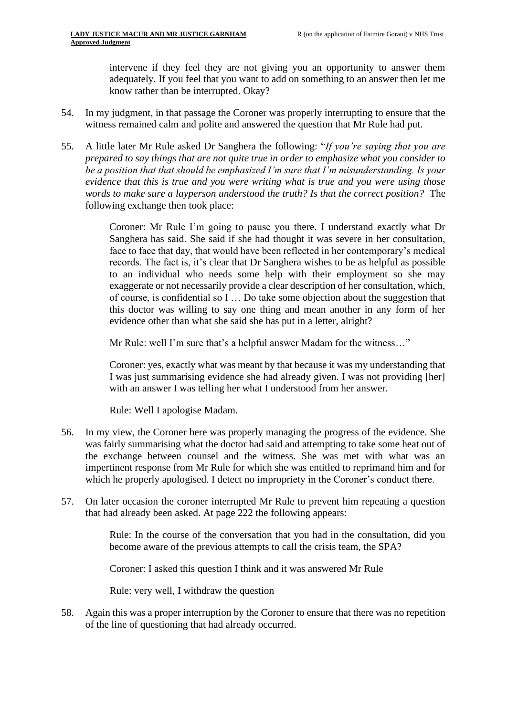intervene if they feel they are not giving you an opportunity to answer them adequately. If you feel that you want to add on something to an answer then let me know rather than be interrupted. Okay?

- 54. In my judgment, in that passage the Coroner was properly interrupting to ensure that the witness remained calm and polite and answered the question that Mr Rule had put.
- 55. A little later Mr Rule asked Dr Sanghera the following: "*If you're saying that you are prepared to say things that are not quite true in order to emphasize what you consider to be a position that that should be emphasized I'm sure that I'm misunderstanding. Is your evidence that this is true and you were writing what is true and you were using those words to make sure a layperson understood the truth? Is that the correct position?* The following exchange then took place:

Coroner: Mr Rule I'm going to pause you there. I understand exactly what Dr Sanghera has said. She said if she had thought it was severe in her consultation, face to face that day, that would have been reflected in her contemporary's medical records. The fact is, it's clear that Dr Sanghera wishes to be as helpful as possible to an individual who needs some help with their employment so she may exaggerate or not necessarily provide a clear description of her consultation, which, of course, is confidential so I … Do take some objection about the suggestion that this doctor was willing to say one thing and mean another in any form of her evidence other than what she said she has put in a letter, alright?

Mr Rule: well I'm sure that's a helpful answer Madam for the witness…"

Coroner: yes, exactly what was meant by that because it was my understanding that I was just summarising evidence she had already given. I was not providing [her] with an answer I was telling her what I understood from her answer.

Rule: Well I apologise Madam.

- 56. In my view, the Coroner here was properly managing the progress of the evidence. She was fairly summarising what the doctor had said and attempting to take some heat out of the exchange between counsel and the witness. She was met with what was an impertinent response from Mr Rule for which she was entitled to reprimand him and for which he properly apologised. I detect no impropriety in the Coroner's conduct there.
- 57. On later occasion the coroner interrupted Mr Rule to prevent him repeating a question that had already been asked. At page 222 the following appears:

Rule: In the course of the conversation that you had in the consultation, did you become aware of the previous attempts to call the crisis team, the SPA?

Coroner: I asked this question I think and it was answered Mr Rule

Rule: very well, I withdraw the question

58. Again this was a proper interruption by the Coroner to ensure that there was no repetition of the line of questioning that had already occurred.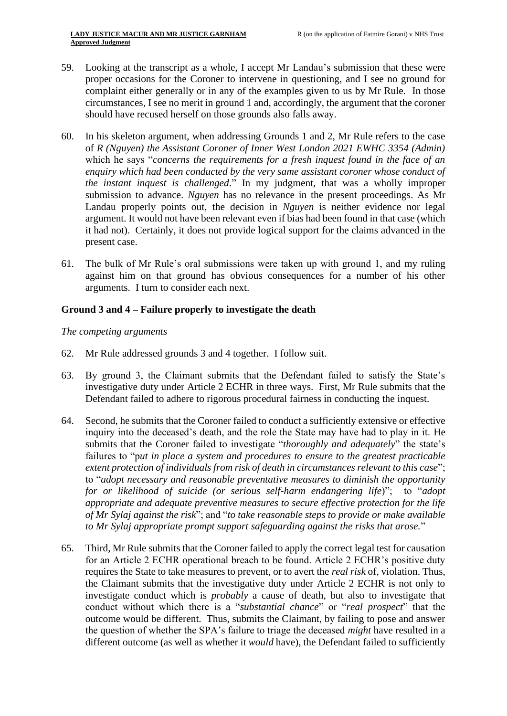- 59. Looking at the transcript as a whole, I accept Mr Landau's submission that these were proper occasions for the Coroner to intervene in questioning, and I see no ground for complaint either generally or in any of the examples given to us by Mr Rule. In those circumstances, I see no merit in ground 1 and, accordingly, the argument that the coroner should have recused herself on those grounds also falls away.
- 60. In his skeleton argument, when addressing Grounds 1 and 2, Mr Rule refers to the case of *R (Nguyen) the Assistant Coroner of Inner West London 2021 EWHC 3354 (Admin)* which he says "*concerns the requirements for a fresh inquest found in the face of an enquiry which had been conducted by the very same assistant coroner whose conduct of the instant inquest is challenged*." In my judgment, that was a wholly improper submission to advance. *Nguyen* has no relevance in the present proceedings. As Mr Landau properly points out, the decision in *Nguyen* is neither evidence nor legal argument. It would not have been relevant even if bias had been found in that case (which it had not). Certainly, it does not provide logical support for the claims advanced in the present case.
- 61. The bulk of Mr Rule's oral submissions were taken up with ground 1, and my ruling against him on that ground has obvious consequences for a number of his other arguments. I turn to consider each next.

## **Ground 3 and 4 – Failure properly to investigate the death**

#### *The competing arguments*

- 62. Mr Rule addressed grounds 3 and 4 together. I follow suit.
- 63. By ground 3, the Claimant submits that the Defendant failed to satisfy the State's investigative duty under Article 2 ECHR in three ways. First, Mr Rule submits that the Defendant failed to adhere to rigorous procedural fairness in conducting the inquest.
- 64. Second, he submits that the Coroner failed to conduct a sufficiently extensive or effective inquiry into the deceased's death, and the role the State may have had to play in it. He submits that the Coroner failed to investigate "*thoroughly and adequately*" the state's failures to "p*ut in place a system and procedures to ensure to the greatest practicable extent protection of individuals from risk of death in circumstances relevant to this case*"; to "*adopt necessary and reasonable preventative measures to diminish the opportunity for or likelihood of suicide (or serious self-harm endangering life*)"; to "*adopt appropriate and adequate preventive measures to secure effective protection for the life of Mr Sylaj against the risk*"; and "*to take reasonable steps to provide or make available to Mr Sylaj appropriate prompt support safeguarding against the risks that arose.*"
- 65. Third, Mr Rule submits that the Coroner failed to apply the correct legal test for causation for an Article 2 ECHR operational breach to be found. Article 2 ECHR's positive duty requires the State to take measures to prevent, or to avert the *real risk* of, violation. Thus, the Claimant submits that the investigative duty under Article 2 ECHR is not only to investigate conduct which is *probably* a cause of death, but also to investigate that conduct without which there is a "*substantial chance*" or "*real prospect*" that the outcome would be different. Thus, submits the Claimant, by failing to pose and answer the question of whether the SPA's failure to triage the deceased *might* have resulted in a different outcome (as well as whether it *would* have), the Defendant failed to sufficiently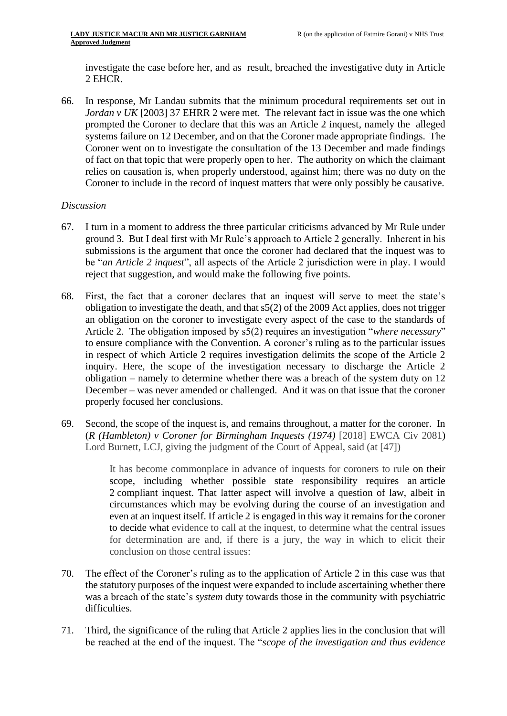investigate the case before her, and as result, breached the investigative duty in Article 2 EHCR.

66. In response, Mr Landau submits that the minimum procedural requirements set out in *Jordan v UK* [2003] 37 EHRR 2 were met. The relevant fact in issue was the one which prompted the Coroner to declare that this was an Article 2 inquest, namely the alleged systems failure on 12 December, and on that the Coroner made appropriate findings. The Coroner went on to investigate the consultation of the 13 December and made findings of fact on that topic that were properly open to her. The authority on which the claimant relies on causation is, when properly understood, against him; there was no duty on the Coroner to include in the record of inquest matters that were only possibly be causative.

#### *Discussion*

- 67. I turn in a moment to address the three particular criticisms advanced by Mr Rule under ground 3. But I deal first with Mr Rule's approach to Article 2 generally. Inherent in his submissions is the argument that once the coroner had declared that the inquest was to be "*an Article 2 inquest*", all aspects of the Article 2 jurisdiction were in play. I would reject that suggestion, and would make the following five points.
- 68. First, the fact that a coroner declares that an inquest will serve to meet the state's obligation to investigate the death, and that s5(2) of the 2009 Act applies, does not trigger an obligation on the coroner to investigate every aspect of the case to the standards of Article 2. The obligation imposed by s5(2) requires an investigation "*where necessary*" to ensure compliance with the Convention. A coroner's ruling as to the particular issues in respect of which Article 2 requires investigation delimits the scope of the Article 2 inquiry. Here, the scope of the investigation necessary to discharge the Article 2 obligation – namely to determine whether there was a breach of the system duty on 12 December – was never amended or challenged. And it was on that issue that the coroner properly focused her conclusions.
- 69. Second, the scope of the inquest is, and remains throughout, a matter for the coroner. In (*R (Hambleton) v Coroner for Birmingham Inquests (1974)* [2018] EWCA Civ 2081) Lord Burnett, LCJ, giving the judgment of the Court of Appeal, said (at [47])

It has become commonplace in advance of inquests for coroners to rule on their scope, including whether possible state responsibility requires an [article](https://uk.westlaw.com/Document/I1B58031DEC86485FA3AEEFBD8980CD10/View/FullText.html?originationContext=document&transitionType=DocumentItem&ppcid=3cf2daeb74d346aa9e4879ff362b5e0e&contextData=(sc.Search)) [2](https://uk.westlaw.com/Document/I1B58031DEC86485FA3AEEFBD8980CD10/View/FullText.html?originationContext=document&transitionType=DocumentItem&ppcid=3cf2daeb74d346aa9e4879ff362b5e0e&contextData=(sc.Search)) compliant inquest. That latter aspect will involve a question of law, albeit in circumstances which may be evolving during the course of an investigation and even at an inquest itself. If [article](https://uk.westlaw.com/Document/I1B58031DEC86485FA3AEEFBD8980CD10/View/FullText.html?originationContext=document&transitionType=DocumentItem&ppcid=3cf2daeb74d346aa9e4879ff362b5e0e&contextData=(sc.Search)) 2 is engaged in this way it remains for the coroner to decide what evidence to call at the inquest, to determine what the central issues for determination are and, if there is a jury, the way in which to elicit their conclusion on those central issues:

- 70. The effect of the Coroner's ruling as to the application of Article 2 in this case was that the statutory purposes of the inquest were expanded to include ascertaining whether there was a breach of the state's *system* duty towards those in the community with psychiatric difficulties.
- 71. Third, the significance of the ruling that Article 2 applies lies in the conclusion that will be reached at the end of the inquest. The "*scope of the investigation and thus evidence*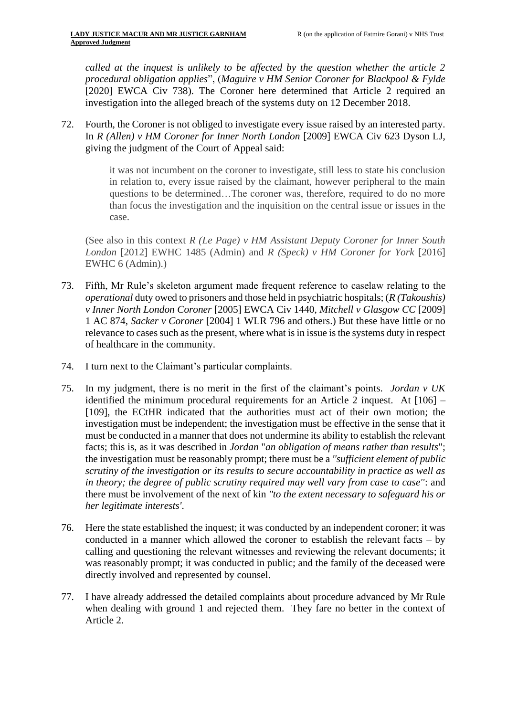*called at the inquest is unlikely to be affected by the question whether the article 2 procedural obligation applies*", (*Maguire v HM Senior Coroner for Blackpool & Fylde* [2020] EWCA Civ 738). The Coroner here determined that Article 2 required an investigation into the alleged breach of the systems duty on 12 December 2018.

72. Fourth, the Coroner is not obliged to investigate every issue raised by an interested party. In *R (Allen) v HM Coroner for Inner North London* [2009] EWCA Civ 623 Dyson LJ, giving the judgment of the Court of Appeal said:

> it was not incumbent on the coroner to investigate, still less to state his conclusion in relation to, every issue raised by the claimant, however peripheral to the main questions to be determined…The coroner was, therefore, required to do no more than focus the investigation and the inquisition on the central issue or issues in the case.

(See also in this context *R (Le Page) v HM Assistant Deputy Coroner for Inner South London* [2012] EWHC 1485 (Admin) and *R (Speck) v HM Coroner for York* [2016] EWHC 6 (Admin).)

- 73. Fifth, Mr Rule's skeleton argument made frequent reference to caselaw relating to the *operational* duty owed to prisoners and those held in psychiatric hospitals; (*R (Takoushis) v Inner North London Coroner* [2005] EWCA Civ 1440, *Mitchell v Glasgow CC* [2009] 1 AC 874, *Sacker v Coroner* [2004] 1 WLR 796 and others.) But these have little or no relevance to cases such as the present, where what is in issue is the systems duty in respect of healthcare in the community.
- 74. I turn next to the Claimant's particular complaints.
- 75. In my judgment, there is no merit in the first of the claimant's points. *Jordan v UK*  identified the minimum procedural requirements for an Article 2 inquest. At [106] – [109], the ECtHR indicated that the authorities must act of their own motion; the investigation must be independent; the investigation must be effective in the sense that it must be conducted in a manner that does not undermine its ability to establish the relevant facts; this is, as it was described in *Jordan* "*an obligation of means rather than results*"; the investigation must be reasonably prompt; there must be a *''sufficient element of public scrutiny of the investigation or its results to secure accountability in practice as well as in theory; the degree of public scrutiny required may well vary from case to case''*: and there must be involvement of the next of kin *''to the extent necessary to safeguard his or her legitimate interests'*.
- 76. Here the state established the inquest; it was conducted by an independent coroner; it was conducted in a manner which allowed the coroner to establish the relevant facts – by calling and questioning the relevant witnesses and reviewing the relevant documents; it was reasonably prompt; it was conducted in public; and the family of the deceased were directly involved and represented by counsel.
- 77. I have already addressed the detailed complaints about procedure advanced by Mr Rule when dealing with ground 1 and rejected them. They fare no better in the context of Article 2.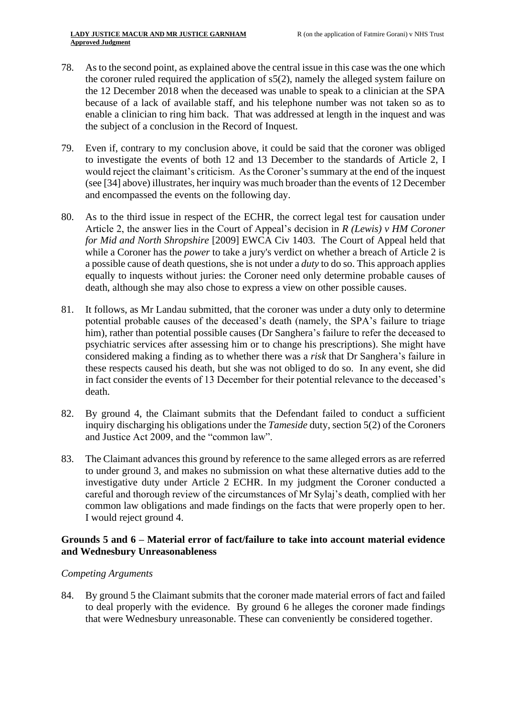- 78. As to the second point, as explained above the central issue in this case was the one which the coroner ruled required the application of s5(2), namely the alleged system failure on the 12 December 2018 when the deceased was unable to speak to a clinician at the SPA because of a lack of available staff, and his telephone number was not taken so as to enable a clinician to ring him back. That was addressed at length in the inquest and was the subject of a conclusion in the Record of Inquest.
- 79. Even if, contrary to my conclusion above, it could be said that the coroner was obliged to investigate the events of both 12 and 13 December to the standards of Article 2, I would reject the claimant's criticism. As the Coroner's summary at the end of the inquest (see [34] above) illustrates, her inquiry was much broader than the events of 12 December and encompassed the events on the following day.
- 80. As to the third issue in respect of the ECHR, the correct legal test for causation under Article 2, the answer lies in the Court of Appeal's decision in *R (Lewis) v HM Coroner for Mid and North Shropshire* [2009] EWCA Civ 1403. The Court of Appeal held that while a Coroner has the *power* to take a jury's verdict on whether a breach of Article 2 is a possible cause of death questions, she is not under a *duty* to do so. This approach applies equally to inquests without juries: the Coroner need only determine probable causes of death, although she may also chose to express a view on other possible causes.
- 81. It follows, as Mr Landau submitted, that the coroner was under a duty only to determine potential probable causes of the deceased's death (namely, the SPA's failure to triage him), rather than potential possible causes (Dr Sanghera's failure to refer the deceased to psychiatric services after assessing him or to change his prescriptions). She might have considered making a finding as to whether there was a *risk* that Dr Sanghera's failure in these respects caused his death, but she was not obliged to do so. In any event, she did in fact consider the events of 13 December for their potential relevance to the deceased's death.
- 82. By ground 4, the Claimant submits that the Defendant failed to conduct a sufficient inquiry discharging his obligations under the *Tameside* duty, section 5(2) of the Coroners and Justice Act 2009, and the "common law".
- 83. The Claimant advances this ground by reference to the same alleged errors as are referred to under ground 3, and makes no submission on what these alternative duties add to the investigative duty under Article 2 ECHR. In my judgment the Coroner conducted a careful and thorough review of the circumstances of Mr Sylaj's death, complied with her common law obligations and made findings on the facts that were properly open to her. I would reject ground 4.

## **Grounds 5 and 6 – Material error of fact/failure to take into account material evidence and Wednesbury Unreasonableness**

#### *Competing Arguments*

84. By ground 5 the Claimant submits that the coroner made material errors of fact and failed to deal properly with the evidence. By ground 6 he alleges the coroner made findings that were Wednesbury unreasonable. These can conveniently be considered together.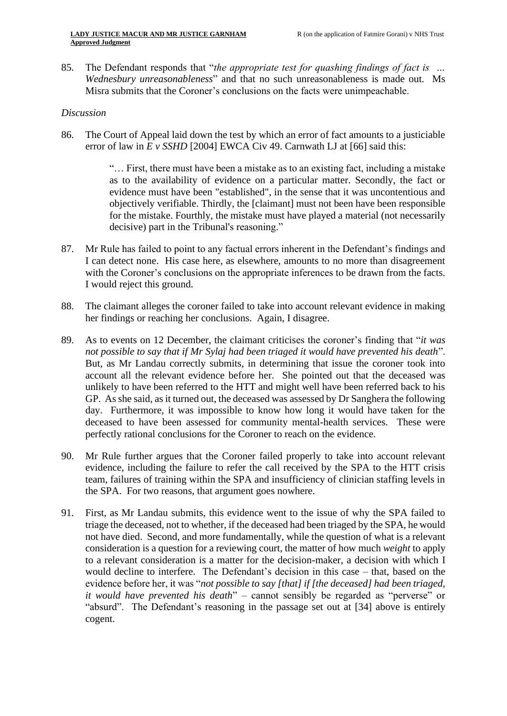85. The Defendant responds that "*the appropriate test for quashing findings of fact is … Wednesbury unreasonableness*" and that no such unreasonableness is made out. Ms Misra submits that the Coroner's conclusions on the facts were unimpeachable.

#### *Discussion*

86. The Court of Appeal laid down the test by which an error of fact amounts to a justiciable error of law in *E v SSHD* [2004] EWCA Civ 49. Carnwath LJ at [66] said this:

> "… First, there must have been a mistake as to an existing fact, including a mistake as to the availability of evidence on a particular matter. Secondly, the fact or evidence must have been "established", in the sense that it was uncontentious and objectively verifiable. Thirdly, the [claimant] must not been have been responsible for the mistake. Fourthly, the mistake must have played a material (not necessarily decisive) part in the Tribunal's reasoning."

- 87. Mr Rule has failed to point to any factual errors inherent in the Defendant's findings and I can detect none. His case here, as elsewhere, amounts to no more than disagreement with the Coroner's conclusions on the appropriate inferences to be drawn from the facts. I would reject this ground.
- 88. The claimant alleges the coroner failed to take into account relevant evidence in making her findings or reaching her conclusions. Again, I disagree.
- 89. As to events on 12 December, the claimant criticises the coroner's finding that "*it was not possible to say that if Mr Sylaj had been triaged it would have prevented his death*". But, as Mr Landau correctly submits, in determining that issue the coroner took into account all the relevant evidence before her. She pointed out that the deceased was unlikely to have been referred to the HTT and might well have been referred back to his GP. As she said, as it turned out, the deceased was assessed by Dr Sanghera the following day. Furthermore, it was impossible to know how long it would have taken for the deceased to have been assessed for community mental-health services. These were perfectly rational conclusions for the Coroner to reach on the evidence.
- 90. Mr Rule further argues that the Coroner failed properly to take into account relevant evidence, including the failure to refer the call received by the SPA to the HTT crisis team, failures of training within the SPA and insufficiency of clinician staffing levels in the SPA. For two reasons, that argument goes nowhere.
- 91. First, as Mr Landau submits, this evidence went to the issue of why the SPA failed to triage the deceased, not to whether, if the deceased had been triaged by the SPA, he would not have died. Second, and more fundamentally, while the question of what is a relevant consideration is a question for a reviewing court, the matter of how much *weight* to apply to a relevant consideration is a matter for the decision-maker, a decision with which I would decline to interfere. The Defendant's decision in this case – that, based on the evidence before her, it was "*not possible to say [that] if [the deceased] had been triaged, it would have prevented his death*" – cannot sensibly be regarded as "perverse" or "absurd". The Defendant's reasoning in the passage set out at [34] above is entirely cogent.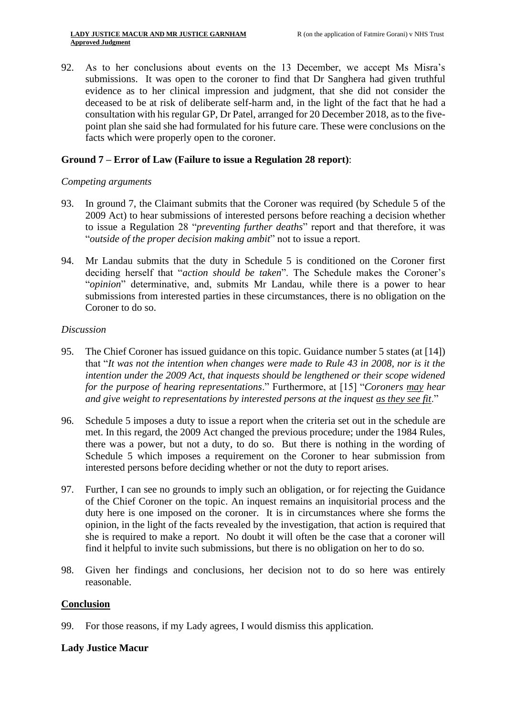92. As to her conclusions about events on the 13 December, we accept Ms Misra's submissions. It was open to the coroner to find that Dr Sanghera had given truthful evidence as to her clinical impression and judgment, that she did not consider the deceased to be at risk of deliberate self-harm and, in the light of the fact that he had a consultation with his regular GP, Dr Patel, arranged for 20 December 2018, as to the fivepoint plan she said she had formulated for his future care. These were conclusions on the facts which were properly open to the coroner.

## **Ground 7 – Error of Law (Failure to issue a Regulation 28 report)**:

## *Competing arguments*

- 93. In ground 7, the Claimant submits that the Coroner was required (by Schedule 5 of the 2009 Act) to hear submissions of interested persons before reaching a decision whether to issue a Regulation 28 "*preventing further deaths*" report and that therefore, it was "*outside of the proper decision making ambit*" not to issue a report.
- 94. Mr Landau submits that the duty in Schedule 5 is conditioned on the Coroner first deciding herself that "*action should be taken*". The Schedule makes the Coroner's "*opinion*" determinative, and, submits Mr Landau, while there is a power to hear submissions from interested parties in these circumstances, there is no obligation on the Coroner to do so.

## *Discussion*

- 95. The Chief Coroner has issued guidance on this topic. Guidance number 5 states (at [14]) that "*It was not the intention when changes were made to Rule 43 in 2008, nor is it the intention under the 2009 Act, that inquests should be lengthened or their scope widened for the purpose of hearing representations*." Furthermore, at [15] "*Coroners may hear and give weight to representations by interested persons at the inquest as they see fit*."
- 96. Schedule 5 imposes a duty to issue a report when the criteria set out in the schedule are met. In this regard, the 2009 Act changed the previous procedure; under the 1984 Rules, there was a power, but not a duty, to do so. But there is nothing in the wording of Schedule 5 which imposes a requirement on the Coroner to hear submission from interested persons before deciding whether or not the duty to report arises.
- 97. Further, I can see no grounds to imply such an obligation, or for rejecting the Guidance of the Chief Coroner on the topic. An inquest remains an inquisitorial process and the duty here is one imposed on the coroner. It is in circumstances where she forms the opinion, in the light of the facts revealed by the investigation, that action is required that she is required to make a report. No doubt it will often be the case that a coroner will find it helpful to invite such submissions, but there is no obligation on her to do so.
- 98. Given her findings and conclusions, her decision not to do so here was entirely reasonable.

## **Conclusion**

99. For those reasons, if my Lady agrees, I would dismiss this application.

## **Lady Justice Macur**